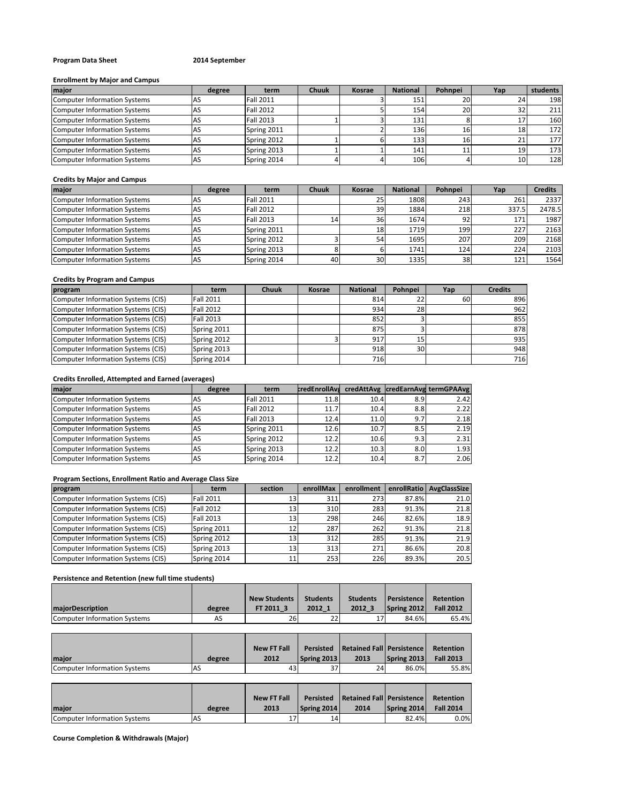# **Program Data Sheet 2014 September**

## **Enrollment by Major and Campus**

| major                        | degree | term             | <b>Chuuk</b> | Kosrae | <b>National</b> | Pohnpei | Yap | students         |
|------------------------------|--------|------------------|--------------|--------|-----------------|---------|-----|------------------|
| Computer Information Systems |        | <b>Fall 2011</b> |              |        | 151             | 20      | 24  | 198              |
| Computer Information Systems |        | <b>Fall 2012</b> |              |        | 154             | 20      |     | 211              |
| Computer Information Systems | AS     | <b>Fall 2013</b> |              |        | 131             |         |     | 160              |
| Computer Information Systems | AS     | Spring 2011      |              |        | 136             | 16      |     | 172              |
| Computer Information Systems | IAS    | Spring 2012      |              |        | 133             | 16      |     | 177 <sup>1</sup> |
| Computer Information Systems | AS     | Spring 2013      |              |        | 141             | 11      | 19  | 173 <sup>1</sup> |
| Computer Information Systems | ias    | Spring 2014      |              |        | 106             |         | 10  | 128              |

#### **Credits by Major and Campus**

| major                               | degree | term             | <b>Chuuk</b>    | Kosrae          | <b>National</b> | Pohnpei | Yap   | <b>Credits</b> |
|-------------------------------------|--------|------------------|-----------------|-----------------|-----------------|---------|-------|----------------|
| <b>Computer Information Systems</b> | AS     | <b>Fall 2011</b> |                 | 25'             | 1808            | 243     | 261   | 2337           |
| Computer Information Systems        | AS     | <b>Fall 2012</b> |                 | 39              | 1884            | 218     | 337.5 | 2478.5         |
| Computer Information Systems        | AS     | <b>Fall 2013</b> | 14 <sub>1</sub> | 36              | 1674            | 92      | 171   | 1987           |
| Computer Information Systems        | AS     | Spring 2011      |                 | 18              | 1719            | 199     | 227   | 2163           |
| Computer Information Systems        | .AS    | Spring 2012      |                 | 54 <sub>1</sub> | 1695            | 207     | 209   | 2168           |
| Computer Information Systems        | AS     | Spring 2013      |                 |                 | 1741            | 124     | 224   | 2103           |
| Computer Information Systems        | AS     | Spring 2014      | 40              | 30 <sup>1</sup> | 1335            | 38      | 121   | 1564           |

# **Credits by Program and Campus**

| program                            | term             | <b>Chuuk</b> | Kosrae | <b>National</b> | Pohnpei | Yap | <b>Credits</b> |
|------------------------------------|------------------|--------------|--------|-----------------|---------|-----|----------------|
| Computer Information Systems (CIS) | <b>Fall 2011</b> |              |        | 814             | 22      | 60  | 896            |
| Computer Information Systems (CIS) | <b>Fall 2012</b> |              |        | 934             | 28      |     | 962            |
| Computer Information Systems (CIS) | <b>Fall 2013</b> |              |        | 852             |         |     | 855            |
| Computer Information Systems (CIS) | Spring 2011      |              |        | 875             |         |     | 878            |
| Computer Information Systems (CIS) | Spring 2012      |              |        | 917             | 15      |     | 935            |
| Computer Information Systems (CIS) | Spring 2013      |              |        | 918             | 30      |     | 948            |
| Computer Information Systems (CIS) | Spring 2014      |              |        | 716             |         |     | 716            |

#### **Credits Enrolled, Attempted and Earned (averages)**

| major                               | degree | term             | <b>credEnrollAva</b> |      |     | credAttAvg credEarnAvg termGPAAvg |
|-------------------------------------|--------|------------------|----------------------|------|-----|-----------------------------------|
| <b>Computer Information Systems</b> | AS     | <b>Fall 2011</b> | 11.8                 | 10.4 | 8.9 | 2.42                              |
| Computer Information Systems        | AS     | <b>Fall 2012</b> | 11.7                 | 10.4 | 8.8 | 2.22                              |
| Computer Information Systems        | AS     | <b>Fall 2013</b> | 12.4                 | 11.0 | 9.7 | 2.18                              |
| Computer Information Systems        | AS     | Spring 2011      | 12.6                 | 10.7 | 8.5 | 2.19                              |
| Computer Information Systems        | AS     | Spring 2012      | 12.2                 | 10.6 | 9.3 | 2.31                              |
| Computer Information Systems        | AS     | Spring 2013      | 12.2                 | 10.3 | 8.0 | 1.93                              |
| Computer Information Systems        | AS     | Spring 2014      | 12.2                 | 10.4 | 8.7 | 2.06                              |

# **Program Sections, Enrollment Ratio and Average Class Size**

| program                            | term             | section | enrollMax | enrollment |       | enrollRatio   AvgClassSize |
|------------------------------------|------------------|---------|-----------|------------|-------|----------------------------|
| Computer Information Systems (CIS) | <b>Fall 2011</b> | 13'     | 311       | 273        | 87.8% | 21.0                       |
| Computer Information Systems (CIS) | <b>Fall 2012</b> | 13      | 310       | 283        | 91.3% | 21.8                       |
| Computer Information Systems (CIS) | <b>Fall 2013</b> | 13'     | 298       | 246        | 82.6% | 18.9                       |
| Computer Information Systems (CIS) | Spring 2011      |         | 287       | 262        | 91.3% | 21.8                       |
| Computer Information Systems (CIS) | Spring 2012      | 13      | 312       | 285        | 91.3% | 21.9                       |
| Computer Information Systems (CIS) | Spring 2013      | 13      | 313       | 271        | 86.6% | 20.8                       |
| Computer Information Systems (CIS) | Spring 2014      | 11      | 253       | 226        | 89.3% | 20.5                       |

# **Persistence and Retention (new full time students)**

|                              |        | <b>New Students</b> | <b>Students</b> | <b>Students</b> | <b>Persistence</b> | <b>Retention</b> |
|------------------------------|--------|---------------------|-----------------|-----------------|--------------------|------------------|
| <b>majorDescription</b>      | degree | FT 2011 3           | 2012 1          | 2012 3          | Spring 2012        | <b>Fall 2012</b> |
| Computer Information Systems | AS     | 26                  | 22              |                 | 84.6%              | 65.4%            |

|                              |        | <b>New FT Fall</b> | Persisted   | Retained Fall   Persistence |             | Retention        |
|------------------------------|--------|--------------------|-------------|-----------------------------|-------------|------------------|
| <b>Imaior</b>                | degree | 2012               | Spring 2013 | 2013                        | Spring 2013 | <b>Fall 2013</b> |
| Computer Information Systems | 'AS    | 43                 | 37          | 24                          | 86.0%       | 55.8%            |

|                              |        | New FT Fall |             | <b>Persisted Retained Fall Persistence</b> |             | Retention        |
|------------------------------|--------|-------------|-------------|--------------------------------------------|-------------|------------------|
| maior                        | degree | 2013        | Spring 2014 | 2014                                       | Spring 2014 | <b>Fall 2014</b> |
| Computer Information Systems | AS.    |             | 14          |                                            | 82.4%       | $0.0\%$          |

**Course Completion & Withdrawals (Major)**